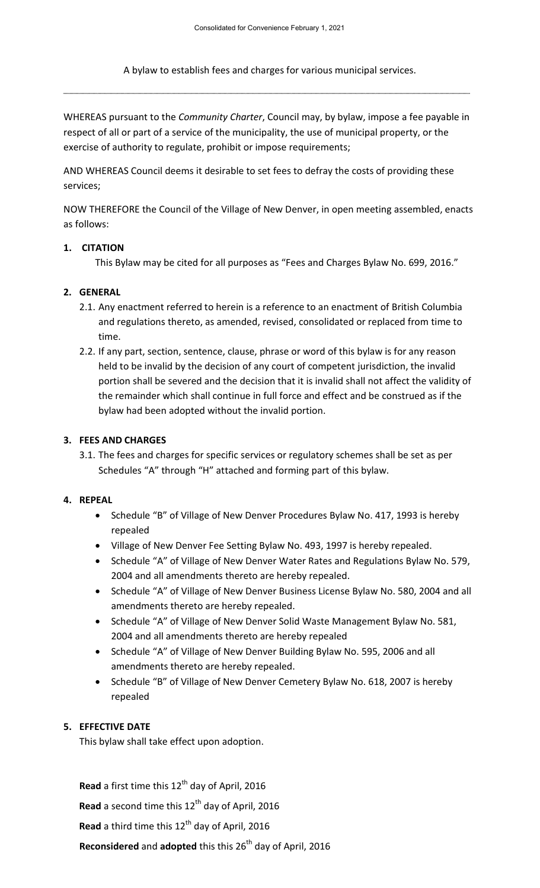A bylaw to establish fees and charges for various municipal services.

WHEREAS pursuant to the *Community Charter*, Council may, by bylaw, impose a fee payable in respect of all or part of a service of the municipality, the use of municipal property, or the exercise of authority to regulate, prohibit or impose requirements;

AND WHEREAS Council deems it desirable to set fees to defray the costs of providing these services;

NOW THEREFORE the Council of the Village of New Denver, in open meeting assembled, enacts as follows:

#### **1. CITATION**

This Bylaw may be cited for all purposes as "Fees and Charges Bylaw No. 699, 2016."

#### **2. GENERAL**

- 2.1. Any enactment referred to herein is a reference to an enactment of British Columbia and regulations thereto, as amended, revised, consolidated or replaced from time to time.
- 2.2. If any part, section, sentence, clause, phrase or word of this bylaw is for any reason held to be invalid by the decision of any court of competent jurisdiction, the invalid portion shall be severed and the decision that it is invalid shall not affect the validity of the remainder which shall continue in full force and effect and be construed as if the bylaw had been adopted without the invalid portion.

### **3. FEES AND CHARGES**

3.1. The fees and charges for specific services or regulatory schemes shall be set as per Schedules "A" through "H" attached and forming part of this bylaw.

#### **4. REPEAL**

- Schedule "B" of Village of New Denver Procedures Bylaw No. 417, 1993 is hereby repealed
- Village of New Denver Fee Setting Bylaw No. 493, 1997 is hereby repealed.
- Schedule "A" of Village of New Denver Water Rates and Regulations Bylaw No. 579, 2004 and all amendments thereto are hereby repealed.
- Schedule "A" of Village of New Denver Business License Bylaw No. 580, 2004 and all amendments thereto are hereby repealed.
- Schedule "A" of Village of New Denver Solid Waste Management Bylaw No. 581, 2004 and all amendments thereto are hereby repealed
- Schedule "A" of Village of New Denver Building Bylaw No. 595, 2006 and all amendments thereto are hereby repealed.
- Schedule "B" of Village of New Denver Cemetery Bylaw No. 618, 2007 is hereby repealed

### **5. EFFECTIVE DATE**

This bylaw shall take effect upon adoption.

Read a first time this 12<sup>th</sup> day of April, 2016 Read a second time this 12<sup>th</sup> day of April, 2016 **Read** a third time this 12<sup>th</sup> day of April, 2016

**Reconsidered** and **adopted** this this 26th day of April, 2016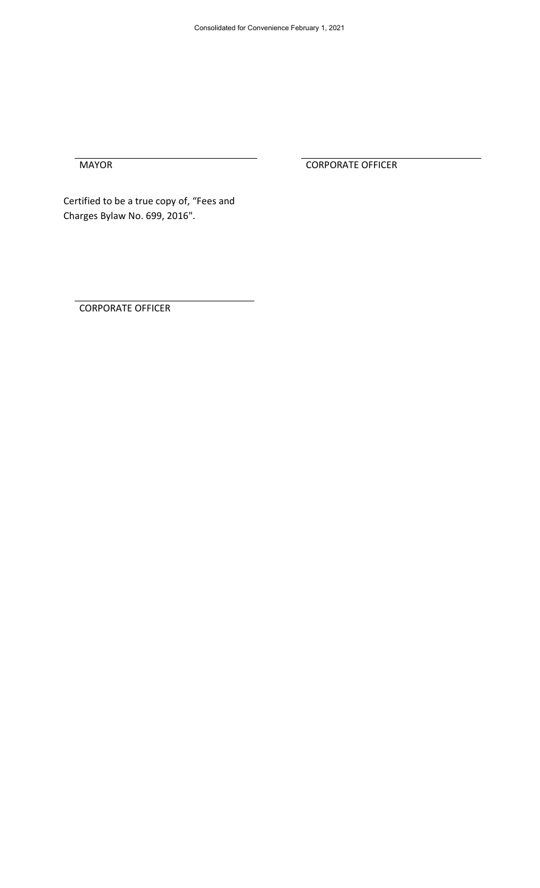MAYOR CORPORATE OFFICER

Certified to be a true copy of, "Fees and Charges Bylaw No. 699, 2016".

CORPORATE OFFICER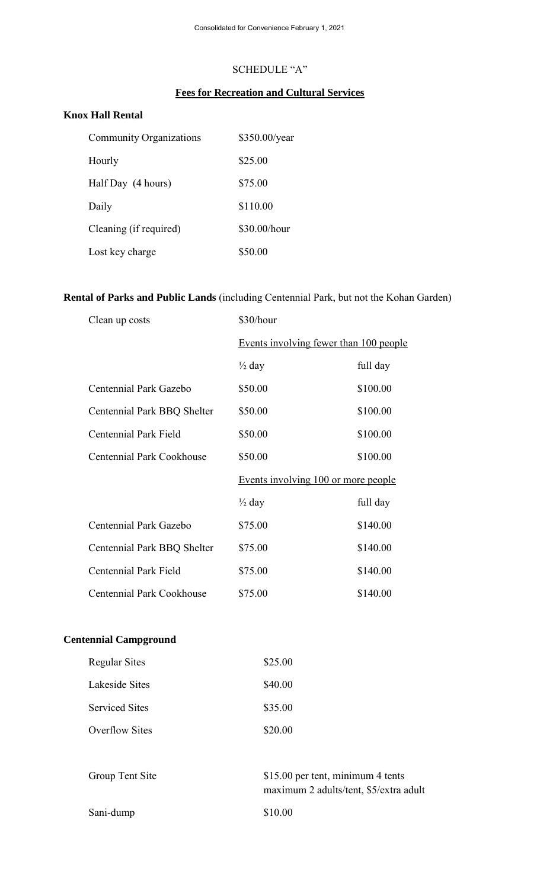# SCHEDULE "A"

# **Fees for Recreation and Cultural Services**

# **Knox Hall Rental**

| <b>Community Organizations</b> | \$350.00/year |
|--------------------------------|---------------|
| Hourly                         | \$25.00       |
| Half Day (4 hours)             | \$75.00       |
| Daily                          | \$110.00      |
| Cleaning (if required)         | \$30.00/hour  |
| Lost key charge                | \$50.00       |

# **Rental of Parks and Public Lands** (including Centennial Park, but not the Kohan Garden)

| Clean up costs                   | \$30/hour                              |          |
|----------------------------------|----------------------------------------|----------|
|                                  | Events involving fewer than 100 people |          |
|                                  | $\frac{1}{2}$ day                      | full day |
| Centennial Park Gazebo           | \$50.00                                | \$100.00 |
| Centennial Park BBQ Shelter      | \$50.00                                | \$100.00 |
| <b>Centennial Park Field</b>     | \$50.00                                | \$100.00 |
| <b>Centennial Park Cookhouse</b> | \$50.00                                | \$100.00 |
|                                  | Events involving 100 or more people    |          |
|                                  | $\frac{1}{2}$ day                      | full day |
| Centennial Park Gazebo           | \$75.00                                | \$140.00 |
| Centennial Park BBQ Shelter      | \$75.00                                | \$140.00 |
| Centennial Park Field            | \$75.00                                | \$140.00 |
| <b>Centennial Park Cookhouse</b> | \$75.00                                | \$140.00 |

# **Centennial Campground**

| Regular Sites         | \$25.00 |
|-----------------------|---------|
| Lakeside Sites        | \$40.00 |
| <b>Serviced Sites</b> | \$35.00 |
| Overflow Sites        | \$20.00 |

| Group Tent Site | \$15.00 per tent, minimum 4 tents<br>maximum 2 adults/tent, \$5/extra adult |
|-----------------|-----------------------------------------------------------------------------|
| Sani-dump       | \$10.00                                                                     |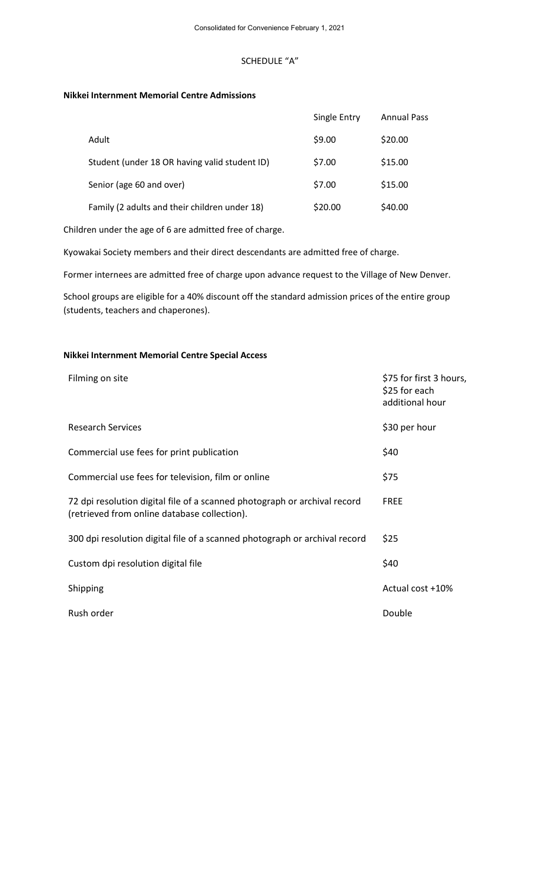#### SCHEDULE "A"

#### **Nikkei Internment Memorial Centre Admissions**

|                                               | Single Entry | <b>Annual Pass</b> |
|-----------------------------------------------|--------------|--------------------|
| Adult                                         | \$9.00       | \$20.00            |
| Student (under 18 OR having valid student ID) | \$7.00       | \$15.00            |
| Senior (age 60 and over)                      | \$7.00       | \$15.00            |
| Family (2 adults and their children under 18) | \$20.00      | \$40.00            |

Children under the age of 6 are admitted free of charge.

Kyowakai Society members and their direct descendants are admitted free of charge.

Former internees are admitted free of charge upon advance request to the Village of New Denver.

School groups are eligible for a 40% discount off the standard admission prices of the entire group (students, teachers and chaperones).

#### **Nikkei Internment Memorial Centre Special Access**

| Filming on site                                                                                                           | \$75 for first 3 hours,<br>\$25 for each<br>additional hour |
|---------------------------------------------------------------------------------------------------------------------------|-------------------------------------------------------------|
| <b>Research Services</b>                                                                                                  | \$30 per hour                                               |
| Commercial use fees for print publication                                                                                 | \$40                                                        |
| Commercial use fees for television, film or online                                                                        | \$75                                                        |
| 72 dpi resolution digital file of a scanned photograph or archival record<br>(retrieved from online database collection). | <b>FREE</b>                                                 |
| 300 dpi resolution digital file of a scanned photograph or archival record                                                | \$25                                                        |
| Custom dpi resolution digital file                                                                                        | \$40                                                        |
| Shipping                                                                                                                  | Actual cost +10%                                            |
| Rush order                                                                                                                | Double                                                      |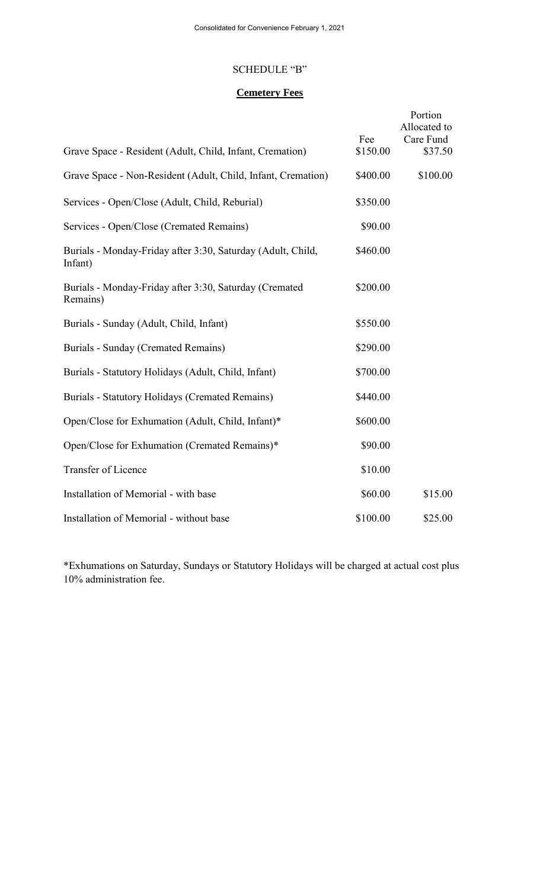#### SCHEDULE "B"

# **Cemetery Fees**

| Grave Space - Resident (Adult, Child, Infant, Cremation)               | Fee<br>\$150.00 | Portion<br>Allocated to<br>Care Fund<br>\$37.50 |
|------------------------------------------------------------------------|-----------------|-------------------------------------------------|
| Grave Space - Non-Resident (Adult, Child, Infant, Cremation)           | \$400.00        | \$100.00                                        |
| Services - Open/Close (Adult, Child, Reburial)                         | \$350.00        |                                                 |
| Services - Open/Close (Cremated Remains)                               | \$90.00         |                                                 |
| Burials - Monday-Friday after 3:30, Saturday (Adult, Child,<br>Infant) | \$460.00        |                                                 |
| Burials - Monday-Friday after 3:30, Saturday (Cremated<br>Remains)     | \$200.00        |                                                 |
| Burials - Sunday (Adult, Child, Infant)                                | \$550.00        |                                                 |
| Burials - Sunday (Cremated Remains)                                    | \$290.00        |                                                 |
| Burials - Statutory Holidays (Adult, Child, Infant)                    | \$700.00        |                                                 |
| Burials - Statutory Holidays (Cremated Remains)                        | \$440.00        |                                                 |
| Open/Close for Exhumation (Adult, Child, Infant)*                      | \$600.00        |                                                 |
| Open/Close for Exhumation (Cremated Remains)*                          | \$90.00         |                                                 |
| Transfer of Licence                                                    | \$10.00         |                                                 |
| Installation of Memorial - with base                                   | \$60.00         | \$15.00                                         |
| Installation of Memorial - without base                                | \$100.00        | \$25.00                                         |

\*Exhumations on Saturday, Sundays or Statutory Holidays will be charged at actual cost plus 10% administration fee.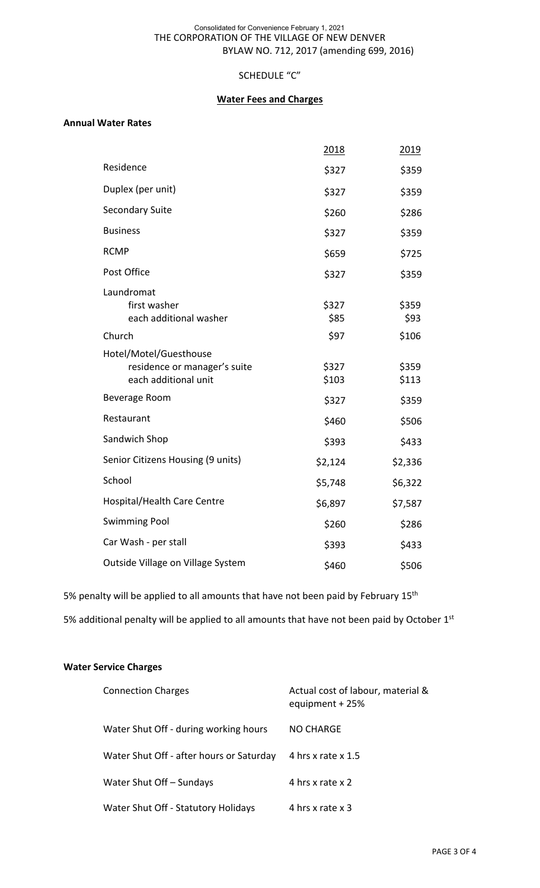#### THE CORPORATION OF THE VILLAGE OF NEW DENVER BYLAW NO. 712, 2017 (amending 699, 2016) Consolidated for Convenience February 1, 2021

# SCHEDULE "C"

# **Water Fees and Charges**

### **Annual Water Rates**

|                                                                                | 2018           | 2019           |
|--------------------------------------------------------------------------------|----------------|----------------|
| Residence                                                                      | \$327          | \$359          |
| Duplex (per unit)                                                              | \$327          | \$359          |
| <b>Secondary Suite</b>                                                         | \$260          | \$286          |
| <b>Business</b>                                                                | \$327          | \$359          |
| <b>RCMP</b>                                                                    | \$659          | \$725          |
| Post Office                                                                    | \$327          | \$359          |
| Laundromat<br>first washer<br>each additional washer                           | \$327<br>\$85  | \$359<br>\$93  |
| Church                                                                         | \$97           | \$106          |
| Hotel/Motel/Guesthouse<br>residence or manager's suite<br>each additional unit | \$327<br>\$103 | \$359<br>\$113 |
| Beverage Room                                                                  | \$327          | \$359          |
| Restaurant                                                                     | \$460          | \$506          |
| Sandwich Shop                                                                  | \$393          | \$433          |
| Senior Citizens Housing (9 units)                                              | \$2,124        | \$2,336        |
| School                                                                         | \$5,748        | \$6,322        |
| <b>Hospital/Health Care Centre</b>                                             | \$6,897        | \$7,587        |
| <b>Swimming Pool</b>                                                           | \$260          | \$286          |
| Car Wash - per stall                                                           | \$393          | \$433          |
| Outside Village on Village System                                              | \$460          | \$506          |

5% penalty will be applied to all amounts that have not been paid by February 15<sup>th</sup>

5% additional penalty will be applied to all amounts that have not been paid by October 1st

#### **Water Service Charges**

| <b>Connection Charges</b>                | Actual cost of labour, material &<br>equipment + 25% |
|------------------------------------------|------------------------------------------------------|
| Water Shut Off - during working hours    | NO CHARGE                                            |
| Water Shut Off - after hours or Saturday | 4 hrs x rate x 1.5                                   |
| Water Shut Off - Sundays                 | 4 hrs x rate x 2                                     |
| Water Shut Off - Statutory Holidays      | 4 hrs x rate x 3                                     |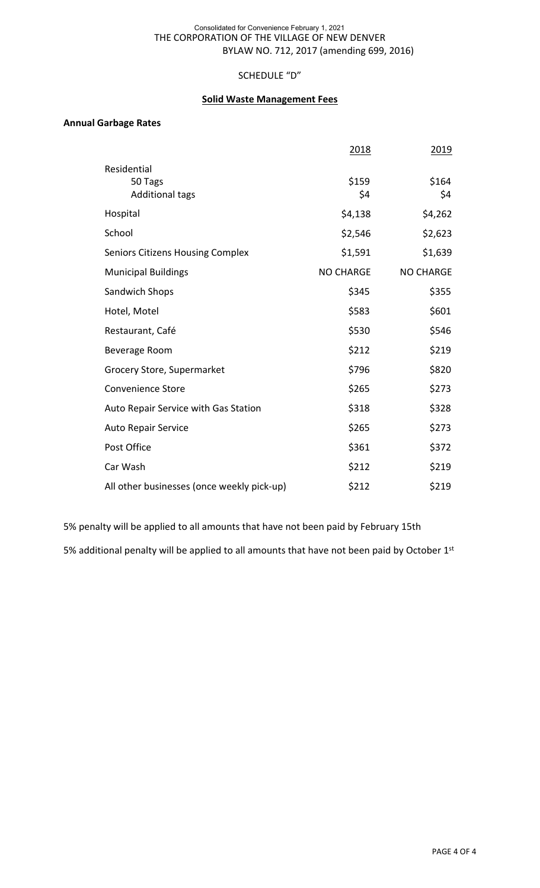#### THE CORPORATION OF THE VILLAGE OF NEW DENVER BYLAW NO. 712, 2017 (amending 699, 2016) Consolidated for Convenience February 1, 2021

### SCHEDULE "D"

#### **Solid Waste Management Fees**

#### **Annual Garbage Rates**

|                                            | 2018             | 2019             |
|--------------------------------------------|------------------|------------------|
| Residential                                |                  |                  |
| 50 Tags<br><b>Additional tags</b>          | \$159<br>\$4     | \$164<br>\$4     |
|                                            |                  |                  |
| Hospital                                   | \$4,138          | \$4,262          |
| School                                     | \$2,546          | \$2,623          |
| <b>Seniors Citizens Housing Complex</b>    | \$1,591          | \$1,639          |
| <b>Municipal Buildings</b>                 | <b>NO CHARGE</b> | <b>NO CHARGE</b> |
| Sandwich Shops                             | \$345            | \$355            |
| Hotel, Motel                               | \$583            | \$601            |
| Restaurant, Café                           | \$530            | \$546            |
| <b>Beverage Room</b>                       | \$212            | \$219            |
| Grocery Store, Supermarket                 | \$796            | \$820            |
| <b>Convenience Store</b>                   | \$265            | \$273            |
| Auto Repair Service with Gas Station       | \$318            | \$328            |
| <b>Auto Repair Service</b>                 | \$265            | \$273            |
| Post Office                                | \$361            | \$372            |
| Car Wash                                   | \$212            | \$219            |
| All other businesses (once weekly pick-up) | \$212            | \$219            |

5% penalty will be applied to all amounts that have not been paid by February 15th

5% additional penalty will be applied to all amounts that have not been paid by October 1st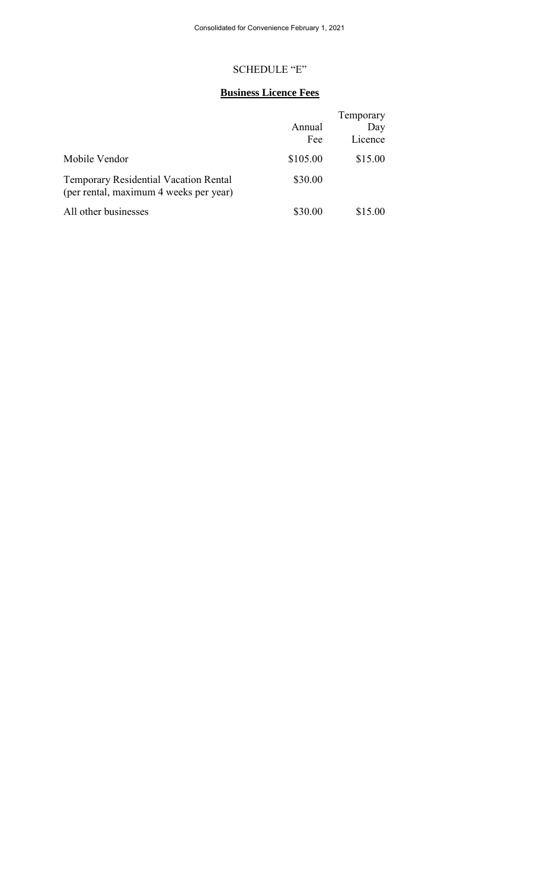#### SCHEDULE "E"

# **Business Licence Fees**

|                                                                                        |          | Temporary |
|----------------------------------------------------------------------------------------|----------|-----------|
|                                                                                        | Annual   | Day       |
|                                                                                        | Fee      | Licence   |
| Mobile Vendor                                                                          | \$105.00 | \$15.00   |
| <b>Temporary Residential Vacation Rental</b><br>(per rental, maximum 4 weeks per year) | \$30.00  |           |
| All other businesses                                                                   | \$30.00  | \$15.00   |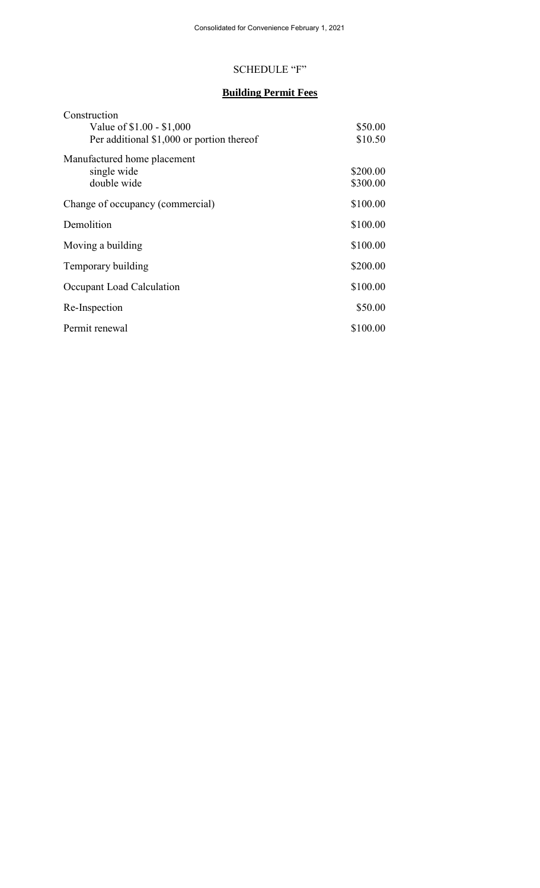# SCHEDULE "F"

# **Building Permit Fees**

| Construction                              |          |
|-------------------------------------------|----------|
| Value of \$1.00 - \$1,000                 | \$50.00  |
| Per additional \$1,000 or portion thereof | \$10.50  |
| Manufactured home placement               |          |
| single wide                               | \$200.00 |
| double wide                               | \$300.00 |
| Change of occupancy (commercial)          | \$100.00 |
| Demolition                                | \$100.00 |
| Moving a building                         | \$100.00 |
| Temporary building                        | \$200.00 |
| Occupant Load Calculation                 | \$100.00 |
| Re-Inspection                             | \$50.00  |
| Permit renewal                            | \$100.00 |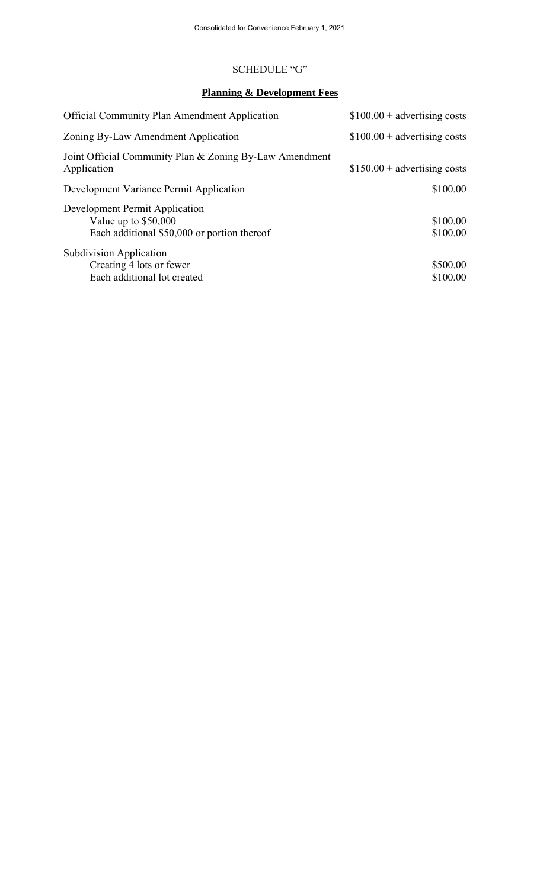#### SCHEDULE "G"

# **Planning & Development Fees**

| <b>Official Community Plan Amendment Application</b>                                                   | $$100.00 + advertising costs$ |
|--------------------------------------------------------------------------------------------------------|-------------------------------|
| Zoning By-Law Amendment Application                                                                    | $$100.00 + advertising costs$ |
| Joint Official Community Plan & Zoning By-Law Amendment<br>Application                                 | $$150.00 + advertising costs$ |
| Development Variance Permit Application                                                                | \$100.00                      |
| Development Permit Application<br>Value up to $$50,000$<br>Each additional \$50,000 or portion thereof | \$100.00<br>\$100.00          |
| Subdivision Application<br>Creating 4 lots or fewer<br>Each additional lot created                     | \$500.00<br>\$100.00          |